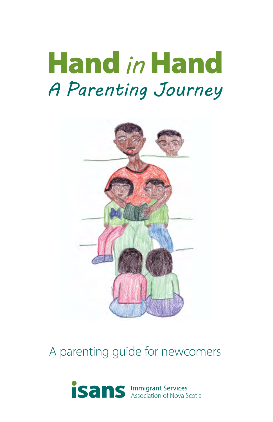# Hand*in* Hand *A Parenting Journey*



# A parenting guide for newcomers

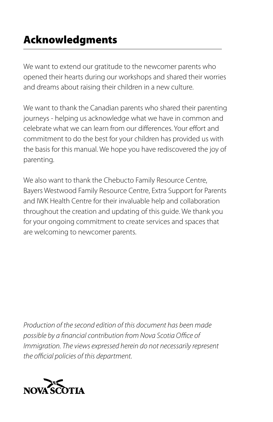# Acknowledgments

We want to extend our gratitude to the newcomer parents who opened their hearts during our workshops and shared their worries and dreams about raising their children in a new culture.

We want to thank the Canadian parents who shared their parenting journeys - helping us acknowledge what we have in common and celebrate what we can learn from our differences. Your effort and commitment to do the best for your children has provided us with the basis for this manual. We hope you have rediscovered the joy of parenting.

We also want to thank the Chebucto Family Resource Centre, Bayers Westwood Family Resource Centre, Extra Support for Parents and IWK Health Centre for their invaluable help and collaboration throughout the creation and updating of this guide. We thank you for your ongoing commitment to create services and spaces that are welcoming to newcomer parents.

*Production of the second edition of this document has been made possible by a financial contribution from Nova Scotia Office of Immigration. The views expressed herein do not necessarily represent the official policies of this department.*

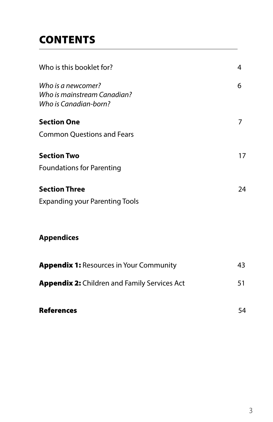# **CONTENTS**

| Who is this booklet for?                                                   | 4  |
|----------------------------------------------------------------------------|----|
| Who is a newcomer?<br>Who is mainstream Canadian?<br>Who is Canadian-born? | 6  |
| <b>Section One</b>                                                         | 7  |
| <b>Common Questions and Fears</b>                                          |    |
| <b>Section Two</b>                                                         | 17 |
| <b>Foundations for Parenting</b>                                           |    |
| <b>Section Three</b>                                                       | 24 |
| <b>Expanding your Parenting Tools</b>                                      |    |
|                                                                            |    |
| <b>Appendices</b>                                                          |    |
| <b>Appendix 1: Resources in Your Community</b>                             | 43 |
| <b>Appendix 2:</b> Children and Family Services Act                        | 51 |
| References                                                                 | 54 |
|                                                                            |    |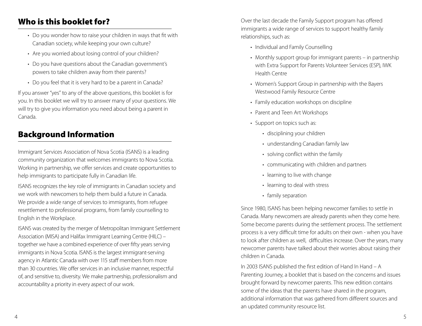# Who is this booklet for?

- Do you wonder how to raise your children in ways that fit with Canadian society, while keeping your own culture?
- Are you worried about losing control of your children?
- Do you have questions about the Canadian government's powers to take children away from their parents?
- Do you feel that it is very hard to be a parent in Canada?

If you answer "yes" to any of the above questions, this booklet is for you. In this booklet we will try to answer many of your questions. We will try to give you information you need about being a parent in Canada.

# Background Information

Immigrant Services Association of Nova Scotia (ISANS) is a leading community organization that welcomes immigrants to Nova Scotia. Working in partnership, we offer services and create opportunities to help immigrants to participate fully in Canadian life.

ISANS recognizes the key role of immigrants in Canadian society and we work with newcomers to help them build a future in Canada. We provide a wide range of services to immigrants, from refugee resettlement to professional programs, from family counselling to English in the Workplace.

ISANS was created by the merger of Metropolitan Immigrant Settlement Association (MISA) and Halifax Immigrant Learning Centre (HILC) – together we have a combined experience of over fifty years serving immigrants in Nova Scotia. ISANS is the largest immigrant-serving agency in Atlantic Canada with over 115 staff members from more than 30 countries. We offer services in an inclusive manner, respectful of, and sensitive to, diversity. We make partnership, professionalism and accountability a priority in every aspect of our work.

Over the last decade the Family Support program has offered immigrants a wide range of services to support healthy family relationships, such as:

- Individual and Family Counselling
- Monthly support group for immigrant parents in partnership with Extra Support for Parents Volunteer Services (ESP), IWK Health Centre
- Women's Support Group in partnership with the Bayers Westwood Family Resource Centre
- Family education workshops on discipline
- Parent and Teen Art Workshops
- Support on topics such as:
	- disciplining your children
	- understanding Canadian family law
	- solving conflict within the family
	- communicating with children and partners
	- learning to live with change
	- learning to deal with stress
	- family separation

Since 1980, ISANS has been helping newcomer families to settle in Canada. Many newcomers are already parents when they come here. Some become parents during the settlement process. The settlement process is a very difficult time for adults on their own - when you have to look after children as well, difficulties increase. Over the years, many newcomer parents have talked about their worries about raising their children in Canada.

In 2003 ISANS published the first edition of Hand In Hand – A Parenting Journey, a booklet that is based on the concerns and issues brought forward by newcomer parents. This new edition contains some of the ideas that the parents have shared in the program, additional information that was gathered from different sources and an updated community resource list.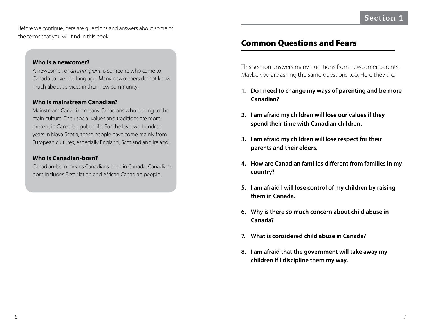Before we continue, here are questions and answers about some of the terms that you will find in this book.

#### **Who is a newcomer?**

A newcomer, or *an immigrant*, is someone who came to Canada to live not long ago. Many newcomers do not know much about services in their new community.

### **Who is mainstream Canadian?**

Mainstream Canadian means Canadians who belong to the main culture. Their social values and traditions are more present in Canadian public life. For the last two hundred years in Nova Scotia, these people have come mainly from European cultures, especially England, Scotland and Ireland.

### **Who is Canadian-born?**

Canadian-born means Canadians born in Canada. Canadianborn includes First Nation and African Canadian people.

# Common Questions and Fears

This section answers many questions from newcomer parents. Maybe you are asking the same questions too. Here they are:

- **1. Do I need to change my ways of parenting and be more Canadian?**
- **2. I am afraid my children will lose our values if they spend their time with Canadian children.**
- **3. I am afraid my children will lose respect for their parents and their elders.**
- **4. How are Canadian families different from families in my country?**
- **5. I am afraid I will lose control of my children by raising them in Canada.**
- **6. Why is there so much concern about child abuse in Canada?**
- **7. What is considered child abuse in Canada?**
- **8. I am afraid that the government will take away my children if I discipline them my way.**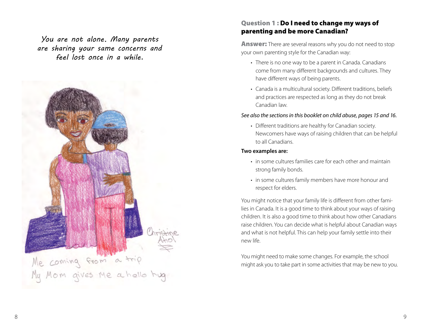*You are not alone. Many parents are sharing your same concerns and feel lost once in a while.*



### Question 1 : Do I need to change my ways of parenting and be more Canadian?

**Answer:** There are several reasons why you do not need to stop your own parenting style for the Canadian way:

- There is no one way to be a parent in Canada. Canadians come from many different backgrounds and cultures. They have different ways of being parents.
- Canada is a multicultural society. Different traditions, beliefs and practices are respected as long as they do not break Canadian law.

### *See also the sections in this booklet on child abuse, pages 15 and 16.*

• Different traditions are healthy for Canadian society. Newcomers have ways of raising children that can be helpful to all Canadians.

### **Two examples are:**

- in some cultures families care for each other and maintain strong family bonds.
- in some cultures family members have more honour and respect for elders.

You might notice that your family life is different from other families in Canada. It is a good time to think about your ways of raising children. It is also a good time to think about how other Canadians raise children. You can decide what is helpful about Canadian ways and what is not helpful. This can help your family settle into their new life.

You might need to make some changes. For example, the school might ask you to take part in some activities that may be new to you.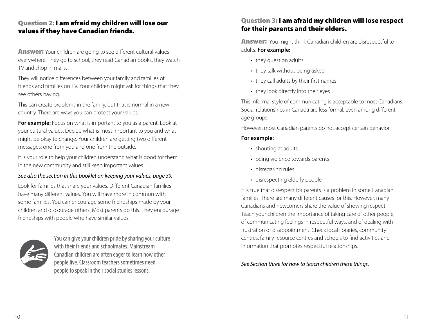### Question 2: I am afraid my children will lose our values if they have Canadian friends.

Answer: Your children are going to see different cultural values everywhere. They go to school, they read Canadian books, they watch TV and shop in malls.

They will notice differences between your family and families of friends and families on TV. Your children might ask for things that they see others having.

This can create problems in the family, but that is normal in a new country. There are ways you can protect your values.

**For example:** Focus on what is important to you as a parent. Look at your cultural values. Decide what is most important to you and what might be okay to change. Your children are getting two different messages: one from you and one from the outside.

It is your role to help your children understand what is good for them in the new community and still keep important values.

### *See also the section in this booklet on keeping your values, page 39.*

Look for families that share your values. Different Canadian families have many different values. You will have more in common with some families. You can encourage some friendships made by your children and discourage others. Most parents do this. They encourage friendships with people who have similar values.



You can give your children pride by sharing your culture with their friends and schoolmates. Mainstream Canadian children are often eager to learn how other people live. Classroom teachers sometimes need people to speak in their social studies lessons.

# Question 3: I am afraid my children will lose respect for their parents and their elders.

Answer: You might think Canadian children are disrespectful to adults. **For example:**

- they question adults
- they talk without being asked
- they call adults by their first names
- they look directly into their eyes

This informal style of communicating is acceptable to most Canadians. Social relationships in Canada are less formal, even among different age groups.

However, most Canadian parents do not accept certain behavior.

### **For example:**

- shouting at adults
- being violence towards parents
- disregaring rules
- disrespecting elderly people

It is true that disrespect for parents is a problem in some Canadian families. There are many different causes for this. However, many Canadians and newcomers share the value of showing respect. Teach your children the importance of taking care of other people, of communicating feelings in respectful ways, and of dealing with frustration or disappointment. Check local libraries, community centres, family resource centres and schools to find activities and information that promotes respectful relationships.

*See Section three for how to teach children these things.*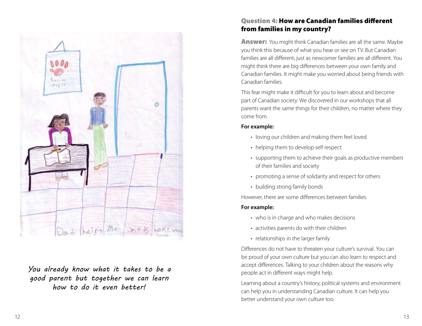

*You already know what it takes to be a good parent but together we can learn how to do it even better!*

# Question 4: How are Canadian families different from families in my country?

**Answer:** You might think Canadian families are all the same. Maybe you think this because of what you hear or see on TV. But Canadian families are all different, just as newcomer families are all different. You might think there are big differences between your own family and Canadian families. It might make you worried about being friends with Canadian families.

This fear might make it difficult for you to learn about and become part of Canadian society. We discovered in our workshops that all parents want the same things for their children, no matter where they come from.

### **For example:**

- loving our children and making them feel loved
- helping them to develop self respect
- supporting them to achieve their goals as productive members of their families and society
- promoting a sense of solidarity and respect for others
- building strong family bonds

However, there are some differences between families.

### **For example:**

- who is in charge and who makes decisions
- activities parents do with their children
- relationships in the larger family

Differences do not have to threaten your culture's survival. You can be proud of your own culture but you can also learn to respect and accept differences. Talking to your children about the reasons why people act in different ways might help.

Learning about a country's history, political systems and environment can help you in understanding Canadian culture. It can help you better understand your own culture too.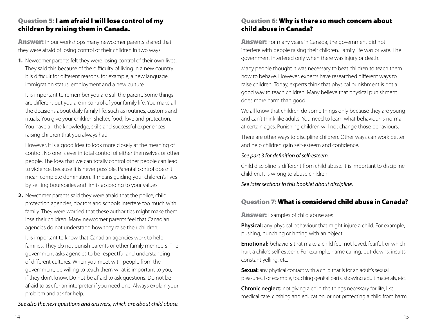# Question 5: I am afraid I will lose control of my children by raising them in Canada.

Answer: In our workshops many newcomer parents shared that they were afraid of losing control of their children in two ways:

**1.** Newcomer parents felt they were losing control of their own lives. They said this because of the difficulty of living in a new country. It is difficult for different reasons, for example, a new language, immigration status, employment and a new culture.

It is important to remember you are still the parent. Some things are different but you are in control of your family life. You make all the decisions about daily family life, such as routines, customs and rituals. You give your children shelter, food, love and protection. You have all the knowledge, skills and successful experiences raising children that you always had.

However, it is a good idea to look more closely at the meaning of control. No one is ever in total control of either themselves or other people. The idea that we can totally control other people can lead to violence, because it is never possible. Parental control doesn't mean complete domination. It means guiding your children's lives by setting boundaries and limits according to your values.

**2.** Newcomer parents said they were afraid that the police, child protection agencies, doctors and schools interfere too much with family. They were worried that these authorities might make them lose their children. Many newcomer parents feel that Canadian agencies do not understand how they raise their children:

It is important to know that Canadian agencies work to help families. They do not punish parents or other family members. The government asks agencies to be respectful and understanding of different cultures. When you meet with people from the government, be willing to teach them what is important to you, if they don't know. Do not be afraid to ask questions. Do not be afraid to ask for an interpreter if you need one. Always explain your problem and ask for help.

*See also the next questions and answers, which are about child abuse.*

# Question 6: Why is there so much concern about child abuse in Canada?

**Answer:** For many years in Canada, the government did not interfere with people raising their children. Family life was private. The government interfered only when there was injury or death.

Many people thought it was necessary to beat children to teach them how to behave. However, experts have researched different ways to raise children. Today, experts think that physical punishment is not a good way to teach children. Many believe that physical punishment does more harm than good.

We all know that children do some things only because they are young and can't think like adults. You need to learn what behaviour is normal at certain ages. Punishing children will not change those behaviours.

There are other ways to discipline children. Other ways can work better and help children gain self-esteem and confidence.

### *See part 3 for definition of self-esteem.*

Child discipline is different from child abuse. It is important to discipline children. It is wrong to abuse children.

*See later sections in this booklet about discipline.*

# Question 7: What is considered child abuse in Canada?

**Answer:** Examples of child abuse are:

**Physical:** any physical behaviour that might injure a child. For example, pushing, punching or hitting with an object.

**Emotional:** behaviors that make a child feel not loved, fearful, or which hurt a child's self-esteem. For example, name calling, put-downs, insults, constant yelling, etc.

**Sexual:** any physical contact with a child that is for an adult's sexual pleasures. For example, touching genital parts, showing adult materials, etc.

**Chronic neglect:** not giving a child the things necessary for life, like medical care, clothing and education, or not protecting a child from harm.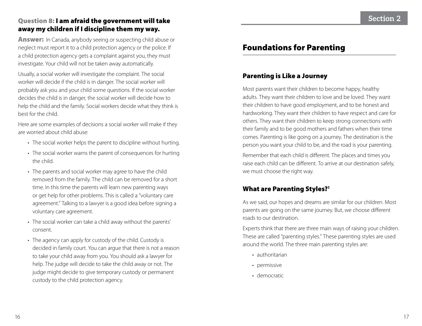# Question 8: I am afraid the government will take away my children if I discipline them my way.

Answer: In Canada, anybody seeing or suspecting child abuse or neglect must report it to a child protection agency or the police. If a child protection agency gets a complaint against you, they must investigate. Your child will not be taken away automatically.

Usually, a social worker will investigate the complaint. The social worker will decide if the child is in danger. The social worker will probably ask you and your child some questions. If the social worker decides the child is in danger, the social worker will decide how to help the child and the family. Social workers decide what they think is best for the child.

Here are some examples of decisions a social worker will make if they are worried about child abuse:

- The social worker helps the parent to discipline without hurting.
- The social worker warns the parent of consequences for hurting the child.
- The parents and social worker may agree to have the child removed from the family. The child can be removed for a short time. In this time the parents will learn new parenting ways or get help for other problems. This is called a "voluntary care agreement." Talking to a lawyer is a good idea before signing a voluntary care agreement.
- The social worker can take a child away without the parents' consent.
- The agency can apply for custody of the child. Custody is decided in family court. You can argue that there is not a reason to take your child away from you. You should ask a lawyer for help. The judge will decide to take the child away or not. The judge might decide to give temporary custody or permanent custody to the child protection agency.

# Foundations for Parenting

# Parenting is Like a Journey

Most parents want their children to become happy, healthy adults. They want their children to love and be loved. They want their children to have good employment, and to be honest and hardworking. They want their children to have respect and care for others. They want their children to keep strong connections with their family and to be good mothers and fathers when their time comes. Parenting is like going on a journey. The destination is the person you want your child to be, and the road is your parenting.

Remember that each child is different. The places and times you raise each child can be different. To arrive at our destination safely, we must choose the right way.

# What are Parenting Styles?1

As we said, our hopes and dreams are similar for our children. Most parents are going on the same journey. But, we choose different roads to our destination.

Experts think that there are three main ways of raising your children. These are called "parenting styles." These parenting styles are used around the world. The three main parenting styles are:

- authoritarian
- permissive
- democratic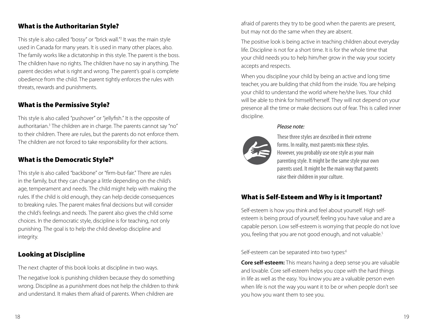# What is the Authoritarian Style?

This style is also called "bossy" or "brick wall."2 It was the main style used in Canada for many years. It is used in many other places, also. The family works like a dictatorship in this style. The parent is the boss. The children have no rights. The children have no say in anything. The parent decides what is right and wrong. The parent's goal is complete obedience from the child. The parent tightly enforces the rules with threats, rewards and punishments.

### What is the Permissive Style?

This style is also called "pushover" or "jellyfish." It is the opposite of authoritarian.<sup>3</sup> The children are in charge. The parents cannot say "no" to their children. There are rules, but the parents do not enforce them. The children are not forced to take responsibility for their actions.

### What is the Democratic Style?4

This style is also called "backbone" or "firm-but-fair." There are rules in the family, but they can change a little depending on the child's age, temperament and needs. The child might help with making the rules. If the child is old enough, they can help decide consequences to breaking rules. The parent makes final decisions but will consider the child's feelings and needs. The parent also gives the child some choices. In the democratic style, discipline is for teaching, not only punishing. The goal is to help the child develop discipline and integrity.

# Looking at Discipline

The next chapter of this book looks at discipline in two ways.

The negative look is punishing children because they do something wrong. Discipline as a punishment does not help the children to think and understand. It makes them afraid of parents. When children are

afraid of parents they try to be good when the parents are present, but may not do the same when they are absent.

The positive look is being active in teaching children about everyday life. Discipline is not for a short time. It is for the whole time that your child needs you to help him/her grow in the way your society accepts and respects.

When you discipline your child by being an active and long time teacher, you are building that child from the inside. You are helping your child to understand the world where he/she lives. Your child will be able to think for himself/herself. They will not depend on your presence all the time or make decisions out of fear. This is called inner discipline.

### *Please note:*



These three styles are described in their extreme forms. In reality, most parents mix these styles. However, you probably use one style as your main parenting style. It might be the same style your own parents used. It might be the main way that parents raise their children in your culture.

# What is Self-Esteem and Why is it Important?

Self-esteem is how you think and feel about yourself. High selfesteem is being proud of yourself, feeling you have value and are a capable person. Low self-esteem is worrying that people do not love you, feeling that you are not good enough, and not valuable.<sup>5</sup>

Self-esteem can be separated into two types:<sup>6</sup>

**Core self-esteem:** This means having a deep sense you are valuable and lovable. Core self-esteem helps you cope with the hard things in life as well as the easy. You know you are a valuable person even when life is not the way you want it to be or when people don't see you how you want them to see you.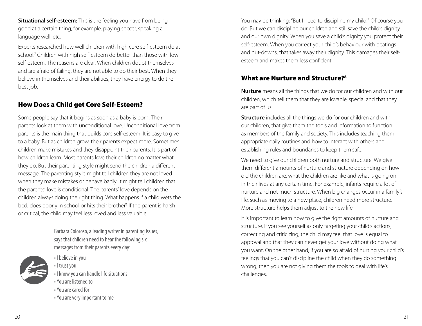**Situational self-esteem:** This is the feeling you have from being good at a certain thing, for example, playing soccer, speaking a language well, etc.

Experts researched how well children with high core self-esteem do at school.<sup>7</sup> Children with high self-esteem do better than those with low self-esteem. The reasons are clear. When children doubt themselves and are afraid of failing, they are not able to do their best. When they believe in themselves and their abilities, they have energy to do the best job.

# How Does a Child get Core Self-Esteem?

Some people say that it begins as soon as a baby is born. Their parents look at them with unconditional love. Unconditional love from parents is the main thing that builds core self-esteem. It is easy to give to a baby. But as children grow, their parents expect more. Sometimes children make mistakes and they disappoint their parents. It is part of how children learn. Most parents love their children no matter what they do. But their parenting style might send the children a different message. The parenting style might tell children they are not loved when they make mistakes or behave badly. It might tell children that the parents' love is conditional. The parents' love depends on the children always doing the right thing. What happens if a child wets the bed, does poorly in school or hits their brother? If the parent is harsh or critical, the child may feel less loved and less valuable.

> Barbara Coloroso, a leading writer in parenting issues, says that children need to hear the following six messages from their parents every day:

- 
- I believe in you
	- I trust you
	- I know you can handle life situations
	- You are listened to
	- You are cared for
	- You are very important to me

You may be thinking: "But I need to discipline my child!" Of course you do. But we can discipline our children and still save the child's dignity and our own dignity. When you save a child's dignity you protect their self-esteem. When you correct your child's behaviour with beatings and put-downs, that takes away their dignity. This damages their selfesteem and makes them less confident.

# What are Nurture and Structure?8

**Nurture** means all the things that we do for our children and with our children, which tell them that they are lovable, special and that they are part of us.

**Structure** includes all the things we do for our children and with our children, that give them the tools and information to function as members of the family and society. This includes teaching them appropriate daily routines and how to interact with others and establishing rules and boundaries to keep them safe.

We need to give our children both nurture and structure. We give them different amounts of nurture and structure depending on how old the children are, what the children are like and what is going on in their lives at any certain time. For example, infants require a lot of nurture and not much structure. When big changes occur in a family's life, such as moving to a new place, children need more structure. More structure helps them adjust to the new life.

It is important to learn how to give the right amounts of nurture and structure. If you see yourself as only targeting your child's actions, correcting and criticizing, the child may feel that love is equal to approval and that they can never get your love without doing what you want. On the other hand, if you are so afraid of hurting your child's feelings that you can't discipline the child when they do something wrong, then you are not giving them the tools to deal with life's challenges.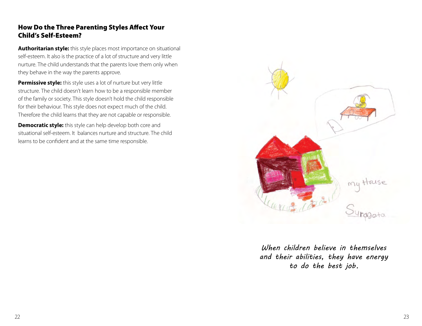# How Do the Three Parenting Styles Affect Your Child's Self-Esteem?

**Authoritarian style:** this style places most importance on situational self-esteem. It also is the practice of a lot of structure and very little nurture. The child understands that the parents love them only when they behave in the way the parents approve.

**Permissive style:** this style uses a lot of nurture but very little structure. The child doesn't learn how to be a responsible member of the family or society. This style doesn't hold the child responsible for their behaviour. This style does not expect much of the child. Therefore the child learns that they are not capable or responsible.

**Democratic style:** this style can help develop both core and situational self-esteem. It balances nurture and structure. The child learns to be confident and at the same time responsible.



*When children believe in themselves and their abilities, they have energy to do the best job.*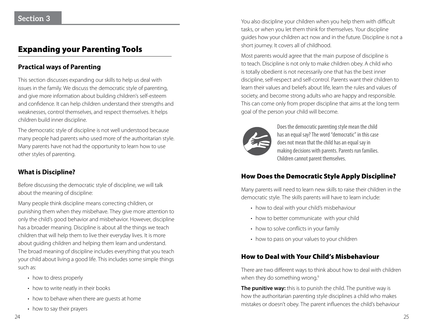# Expanding your Parenting Tools

# **Practical ways of Parenting**

This section discusses expanding our skills to help us deal with issues in the family. We discuss the democratic style of parenting, and give more information about building children's self-esteem and confidence. It can help children understand their strengths and weaknesses, control themselves, and respect themselves. It helps children build inner discipline.

The democratic style of discipline is not well understood because many people had parents who used more of the authoritarian style. Many parents have not had the opportunity to learn how to use other styles of parenting.

# **What is Discipline?**

Before discussing the democratic style of discipline, we will talk about the meaning of discipline:

Many people think discipline means correcting children, or punishing them when they misbehave. They give more attention to only the child's good behavior and misbehavior. However, discipline has a broader meaning. Discipline is about all the things we teach children that will help them to live their everyday lives. It is more about guiding children and helping them learn and understand. The broad meaning of discipline includes everything that you teach your child about living a good life. This includes some simple things such as:

- how to dress properly
- how to write neatly in their books
- how to behave when there are guests at home
- how to say their prayers

You also discipline your children when you help them with difficult tasks, or when you let them think for themselves. Your discipline guides how your children act now and in the future. Discipline is not a short journey. It covers all of childhood.

Most parents would agree that the main purpose of discipline is to teach. Discipline is not only to make children obey. A child who is totally obedient is not necessarily one that has the best inner discipline, self-respect and self-control. Parents want their children to learn their values and beliefs about life, learn the rules and values of society, and become strong adults who are happy and responsible. This can come only from proper discipline that aims at the long term goal of the person your child will become.



Does the democratic parenting style mean the child has an equal say? The word "democratic" in this case does not mean that the child has an equal say in making decisions with parents. Parents run families. Children cannot parent themselves.

# How Does the Democratic Style Apply Discipline?

Many parents will need to learn new skills to raise their children in the democratic style. The skills parents will have to learn include:

- how to deal with your child's misbehaviour
- how to better communicate with your child
- how to solve conflicts in your family
- how to pass on your values to your children

# How to Deal with Your Child's Misbehaviour

There are two different ways to think about how to deal with children when they do something wrong.<sup>9</sup>

**The punitive way:** this is to punish the child. The punitive way is how the authoritarian parenting style disciplines a child who makes mistakes or doesn't obey. The parent influences the child's behaviour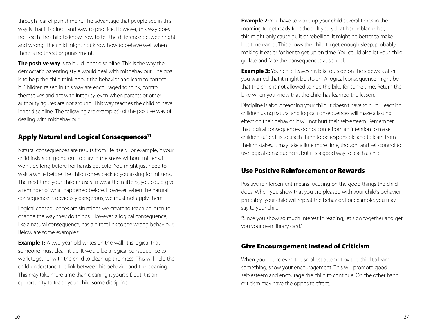through fear of punishment. The advantage that people see in this way is that it is direct and easy to practice. However, this way does not teach the child to know how to tell the difference between right and wrong. The child might not know how to behave well when there is no threat or punishment.

**The positive way** is to build inner discipline. This is the way the democratic parenting style would deal with misbehaviour. The goal is to help the child think about the behavior and learn to correct it. Children raised in this way are encouraged to think, control themselves and act with integrity, even when parents or other authority figures are not around. This way teaches the child to have inner discipline. The following are examples<sup>10</sup> of the positive way of dealing with misbehaviour:

# Apply Natural and Logical Consequences<sup>11</sup>

Natural consequences are results from life itself. For example, if your child insists on going out to play in the snow without mittens, it won't be long before her hands get cold. You might just need to wait a while before the child comes back to you asking for mittens. The next time your child refuses to wear the mittens, you could give a reminder of what happened before. However, when the natural consequence is obviously dangerous, we must not apply them.

Logical consequences are situations we create to teach children to change the way they do things. However, a logical consequence, like a natural consequence, has a direct link to the wrong behaviour. Below are some examples:

**Example 1:** A two-year-old writes on the wall. It is logical that someone must clean it up. It would be a logical consequence to work together with the child to clean up the mess. This will help the child understand the link between his behavior and the cleaning. This may take more time than cleaning it yourself, but it is an opportunity to teach your child some discipline.

**Example 2:** You have to wake up your child several times in the morning to get ready for school. If you yell at her or blame her, this might only cause guilt or rebellion. It might be better to make bedtime earlier. This allows the child to get enough sleep, probably making it easier for her to get up on time. You could also let your child go late and face the consequences at school.

**Example 3:** Your child leaves his bike outside on the sidewalk after you warned that it might be stolen. A logical consequence might be that the child is not allowed to ride the bike for some time. Return the bike when you know that the child has learned the lesson.

Discipline is about teaching your child. It doesn't have to hurt. Teaching children using natural and logical consequences will make a lasting effect on their behavior. It will not hurt their self-esteem. Remember that logical consequences do not come from an intention to make children suffer. It is to teach them to be responsible and to learn from their mistakes. It may take a little more time, thought and self-control to use logical consequences, but it is a good way to teach a child.

# Use Positive Reinforcement or Rewards

Positive reinforcement means focusing on the good things the child does. When you show that you are pleased with your child's behavior, probably your child will repeat the behavior. For example, you may say to your child:

"Since you show so much interest in reading, let's go together and get you your own library card."

# Give Encouragement Instead of Criticism

When you notice even the smallest attempt by the child to learn something, show your encouragement. This will promote good self-esteem and encourage the child to continue. On the other hand, criticism may have the opposite effect.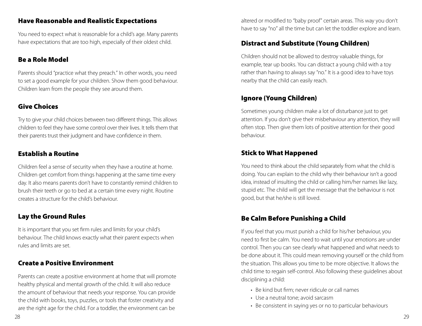# Have Reasonable and Realistic Expectations

You need to expect what is reasonable for a child's age. Many parents have expectations that are too high, especially of their oldest child.

# Be a Role Model

Parents should "practice what they preach." In other words, you need to set a good example for your children. Show them good behaviour. Children learn from the people they see around them.

# Give Choices

Try to give your child choices between two different things. This allows children to feel they have some control over their lives. It tells them that their parents trust their judgment and have confidence in them.

# Establish a Routine

Children feel a sense of security when they have a routine at home. Children get comfort from things happening at the same time every day. It also means parents don't have to constantly remind children to brush their teeth or go to bed at a certain time every night. Routine creates a structure for the child's behaviour.

# Lay the Ground Rules

It is important that you set firm rules and limits for your child's behaviour. The child knows exactly what their parent expects when rules and limits are set.

# Create a Positive Environment

Parents can create a positive environment at home that will promote healthy physical and mental growth of the child. It will also reduce the amount of behaviour that needs your response. You can provide the child with books, toys, puzzles, or tools that foster creativity and are the right age for the child. For a toddler, the environment can be

altered or modified to "baby proof" certain areas. This way you don't have to say "no" all the time but can let the toddler explore and learn.

# Distract and Substitute (Young Children)

Children should not be allowed to destroy valuable things, for example, tear up books. You can distract a young child with a toy rather than having to always say "no." It is a good idea to have toys nearby that the child can easily reach.

# Ignore (Young Children)

Sometimes young children make a lot of disturbance just to get attention. If you don't give their misbehaviour any attention, they will often stop. Then give them lots of positive attention for their good behaviour.

# Stick to What Happened

You need to think about the child separately from what the child is doing. You can explain to the child why their behaviour isn't a good idea, instead of insulting the child or calling him/her names like lazy, stupid etc. The child will get the message that the behaviour is not good, but that he/she is still loved.

# Be Calm Before Punishing a Child

If you feel that you must punish a child for his/her behaviour, you need to first be calm. You need to wait until your emotions are under control. Then you can see clearly what happened and what needs to be done about it. This could mean removing yourself or the child from the situation. This allows you time to be more objective. It allows the child time to regain self-control. Also following these guidelines about disciplining a child:

- Be kind but firm; never ridicule or call names
- Use a neutral tone; avoid sarcasm
- Be consistent in saying yes or no to particular behaviours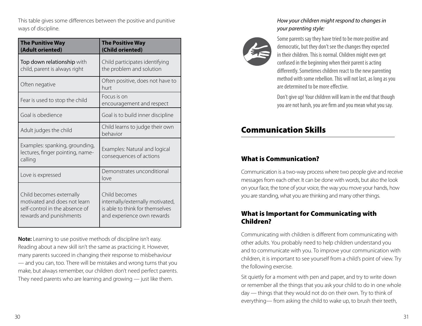This table gives some differences between the positive and punitive ways of discipline.

| <b>The Punitive Way</b><br>(Adult oriented)                                                                           | <b>The Positive Way</b><br>(Child oriented)                                                                        |
|-----------------------------------------------------------------------------------------------------------------------|--------------------------------------------------------------------------------------------------------------------|
| Top down relationship with<br>child, parent is always right                                                           | Child participates identifying<br>the problem and solution                                                         |
| Often negative                                                                                                        | Often positive, does not have to<br>hurt                                                                           |
| Fear is used to stop the child                                                                                        | Focus is on<br>encouragement and respect                                                                           |
| Goal is obedience                                                                                                     | Goal is to build inner discipline                                                                                  |
| Adult judges the child                                                                                                | Child learns to judge their own<br>behavior                                                                        |
| Examples: spanking, grounding,<br>lectures, finger pointing, name-<br>calling                                         | Examples: Natural and logical<br>consequences of actions                                                           |
| Love is expressed                                                                                                     | Demonstrates unconditional<br>love                                                                                 |
| Child becomes externally<br>motivated and does not learn<br>self-control in the absence of<br>rewards and punishments | Child becomes<br>internally/externally motivated,<br>is able to think for themselves<br>and experience own rewards |

**Note:** Learning to use positive methods of discipline isn't easy. Reading about a new skill isn't the same as practicing it. However, many parents succeed in changing their response to misbehaviour — and you can, too. There will be mistakes and wrong turns that you make, but always remember, our children don't need perfect parents. They need parents who are learning and growing — just like them.

### *How your children might respond to changes in your parenting style:*



Some parents say they have tried to be more positive and democratic, but they don't see the changes they expected in their children. This is normal. Children might even get confused in the beginning when their parent is acting differently. Sometimes children react to the new parenting method with some rebellion. This will not last, as long as you are determined to be more effective.

Don't give up! Your children will learn in the end that though you are not harsh, you are firm and you mean what you say.

# Communication Skills

# What is Communication?

Communication is a two-way process where two people give and receive messages from each other. It can be done with words, but also the look on your face, the tone of your voice, the way you move your hands, how you are standing, what you are thinking and many other things.

# What is Important for Communicating with Children?

Communicating with children is different from communicating with other adults. You probably need to help children understand you and to communicate with you. To improve your communication with children, it is important to see yourself from a child's point of view. Try the following exercise.

Sit quietly for a moment with pen and paper, and try to write down or remember all the things that you ask your child to do in one whole day — things that they would not do on their own. Try to think of everything— from asking the child to wake up, to brush their teeth,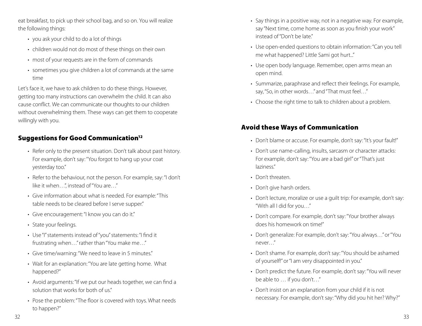eat breakfast, to pick up their school bag, and so on. You will realize the following things:

- you ask your child to do a lot of things
- children would not do most of these things on their own
- most of your requests are in the form of commands
- sometimes you give children a lot of commands at the same time

Let's face it, we have to ask children to do these things. However, getting too many instructions can overwhelm the child. It can also cause conflict. We can communicate our thoughts to our children without overwhelming them. These ways can get them to cooperate willingly with you.

# Suggestions for Good Communication<sup>12</sup>

- Refer only to the present situation. Don't talk about past history. For example, don't say: "You forgot to hang up your coat yesterday too."
- Refer to the behaviour, not the person. For example, say: "I don't like it when…", instead of "You are…"
- Give information about what is needed. For example: "This table needs to be cleared before I serve supper."
- Give encouragement: "I know you can do it."
- State your feelings.
- Use "I" statements instead of "you" statements: "I find it frustrating when…" rather than "You make me…"
- Give time/warning: "We need to leave in 5 minutes."
- Wait for an explanation: "You are late getting home. What happened?"
- Avoid arguments: "If we put our heads together, we can find a solution that works for both of us."
- Pose the problem: "The floor is covered with toys. What needs to happen?"
- Say things in a positive way, not in a negative way. For example, say "Next time, come home as soon as you finish your work" instead of "Don't be late"
- Use open-ended questions to obtain information: "Can you tell me what happened? Little Sami got hurt..."
- Use open body language. Remember, open arms mean an open mind.
- Summarize, paraphrase and reflect their feelings. For example, say, "So, in other words…" and "That must feel…"
- Choose the right time to talk to children about a problem.

# Avoid these Ways of Communication

- Don't blame or accuse. For example, don't say: "It's your fault!"
- Don't use name-calling, insults, sarcasm or character attacks: For example, don't say: "You are a bad girl" or "That's just laziness."
- Don't threaten.
- Don't give harsh orders.
- Don't lecture, moralize or use a guilt trip: For example, don't say: "With all I did for you…"
- Don't compare. For example, don't say: "Your brother always does his homework on time!"
- Don't generalize: For example, don't say: "You always…" or "You never…"
- Don't shame. For example, don't say: "You should be ashamed of yourself!" or "I am very disappointed in you."
- Don't predict the future. For example, don't say: "You will never be able to … if you don't…"
- Don't insist on an explanation from your child if it is not necessary. For example, don't say: "Why did you hit her? Why?"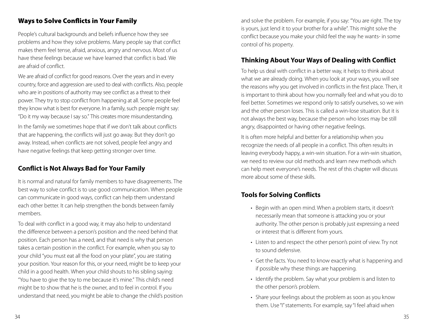# Ways to Solve Conflicts in Your Family

People's cultural backgrounds and beliefs influence how they see problems and how they solve problems. Many people say that conflict makes them feel tense, afraid, anxious, angry and nervous. Most of us have these feelings because we have learned that conflict is bad. We are afraid of conflict.

We are afraid of conflict for good reasons. Over the years and in every country, force and aggression are used to deal with conflicts. Also, people who are in positions of authority may see conflict as a threat to their power. They try to stop conflict from happening at all. Some people feel they know what is best for everyone. In a family, such people might say: "Do it my way because I say so." This creates more misunderstanding.

In the family we sometimes hope that if we don't talk about conflicts that are happening, the conflicts will just go away. But they don't go away. Instead, when conflicts are not solved, people feel angry and have negative feelings that keep getting stronger over time.

# **Conflict is Not Always Bad for Your Family**

It is normal and natural for family members to have disagreements. The best way to solve conflict is to use good communication. When people can communicate in good ways, conflict can help them understand each other better. It can help strengthen the bonds between family members.

To deal with conflict in a good way, it may also help to understand the difference between a person's position and the need behind that position. Each person has a need, and that need is why that person takes a certain position in the conflict. For example, when you say to your child "you must eat all the food on your plate", you are stating your position. Your reason for this, or your need, might be to keep your child in a good health. When your child shouts to his sibling saying: "You have to give the toy to me because it's mine." This child's need might be to show that he is the owner, and to feel in control. If you understand that need, you might be able to change the child's position and solve the problem. For example, if you say: "You are right. The toy is yours, just lend it to your brother for a while". This might solve the conflict because you make your child feel the way he wants- in some control of his property.

# **Thinking About Your Ways of Dealing with Conflict**

To help us deal with conflict in a better way, it helps to think about what we are already doing. When you look at your ways, you will see the reasons why you get involved in conflicts in the first place. Then, it is important to think about how you normally feel and what you do to feel better. Sometimes we respond only to satisfy ourselves, so we win and the other person loses. This is called a win-lose situation. But it is not always the best way, because the person who loses may be still angry, disappointed or having other negative feelings.

It is often more helpful and better for a relationship when you recognize the needs of all people in a conflict. This often results in leaving everybody happy, a win-win situation. For a win-win situation, we need to review our old methods and learn new methods which can help meet everyone's needs. The rest of this chapter will discuss more about some of these skills.

# **Tools for Solving Conflicts**

- Begin with an open mind. When a problem starts, it doesn't necessarily mean that someone is attacking you or your authority. The other person is probably just expressing a need or interest that is different from yours.
- Listen to and respect the other person's point of view. Try not to sound defensive.
- Get the facts. You need to know exactly what is happening and if possible why these things are happening.
- Identify the problem. Say what your problem is and listen to the other person's problem.
- Share your feelings about the problem as soon as you know them. Use "I" statements. For example, say "I feel afraid when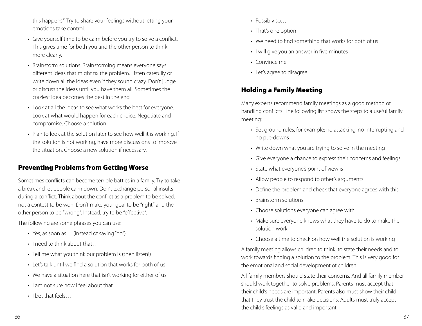this happens." Try to share your feelings without letting your emotions take control.

- Give yourself time to be calm before you try to solve a conflict. This gives time for both you and the other person to think more clearly.
- Brainstorm solutions. Brainstorming means everyone says different ideas that might fix the problem. Listen carefully or write down all the ideas even if they sound crazy. Don't judge or discuss the ideas until you have them all. Sometimes the craziest idea becomes the best in the end.
- Look at all the ideas to see what works the best for everyone. Look at what would happen for each choice. Negotiate and compromise. Choose a solution.
- Plan to look at the solution later to see how well it is working. If the solution is not working, have more discussions to improve the situation. Choose a new solution if necessary.

# Preventing Problems from Getting Worse

Sometimes conflicts can become terrible battles in a family. Try to take a break and let people calm down. Don't exchange personal insults during a conflict. Think about the conflict as a problem to be solved, not a contest to be won. Don't make your goal to be "right" and the other person to be "wrong". Instead, try to be "effective".

The following are some phrases you can use:

- Yes, as soon as… (instead of saying "no")
- I need to think about that...
- Tell me what you think our problem is (then listen!)
- Let's talk until we find a solution that works for both of us
- We have a situation here that isn't working for either of us
- I am not sure how I feel about that
- I bet that feels...
- Possibly so...
- That's one option
- We need to find something that works for both of us
- I will give you an answer in five minutes
- Convince me
- Let's agree to disagree

# Holding a Family Meeting

Many experts recommend family meetings as a good method of handling conflicts. The following list shows the steps to a useful family meeting:

- Set ground rules, for example: no attacking, no interrupting and no put-downs
- Write down what you are trying to solve in the meeting
- Give everyone a chance to express their concerns and feelings
- State what everyone's point of view is
- Allow people to respond to other's arguments
- Define the problem and check that everyone agrees with this
- Brainstorm solutions
- Choose solutions everyone can agree with
- Make sure everyone knows what they have to do to make the solution work
- Choose a time to check on how well the solution is working

A family meeting allows children to think, to state their needs and to work towards finding a solution to the problem. This is very good for the emotional and social development of children.

All family members should state their concerns. And all family member should work together to solve problems. Parents must accept that their child's needs are important. Parents also must show their child that they trust the child to make decisions. Adults must truly accept the child's feelings as valid and important.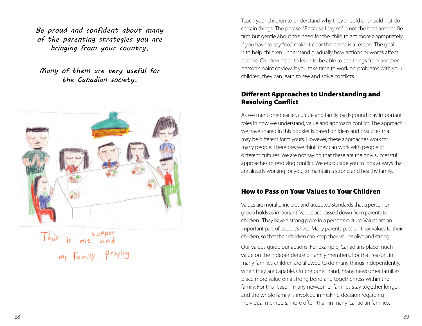*Be proud and confident about many of the parenting strategies you are bringing from your country.*

*Many of them are very useful for the Canadian society.*



my family praying

Teach your children to understand why they should or should not do certain things. The phrase, "Because I say so" is not the best answer. Be firm but gentle about the need for the child to act more appropriately. If you have to say "no," make it clear that there is a reason. The goal is to help children understand gradually how actions or words affect people. Children need to learn to be able to see things from another person's point of view. If you take time to work on problems with your children, they can learn to see and solve conflicts.

# Different Approaches to Understanding and Resolving Conflict

As we mentioned earlier, culture and family background play important roles in how we understand, value and approach conflict. The approach we have shared in this booklet is based on ideas and practices that may be different form yours. However, these approaches work for many people. Therefore, we think they can work with people of different cultures. We are not saying that these are the only successful approaches to resolving conflict. We encourage you to look at ways that are already working for you, to maintain a strong and healthy family.

# How to Pass on Your Values to Your Children

Values are moral principles and accepted standards that a person or group holds as important. Values are passed down from parents to children. They have a strong place in a person's culture. Values are an important part of people's lives. Many parents pass on their values to their children, so that their children can keep their values alive and strong.

Our values guide our actions. For example, Canadians place much value on the independence of family members. For that reason, in many families children are allowed to do many things independently, when they are capable. On the other hand, many newcomer families place more value on a strong bond and togetherness within the family. For this reason, many newcomer families stay together longer, and the whole family is involved in making decision regarding individual members, more often than in many Canadian families.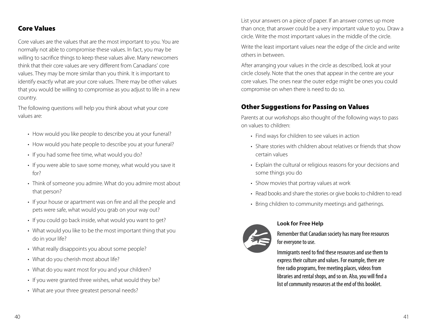# Core Values

Core values are the values that are the most important to you. You are normally not able to compromise these values. In fact, you may be willing to sacrifice things to keep these values alive. Many newcomers think that their core values are very different from Canadians' core values. They may be more similar than you think. It is important to identify exactly what are your core values. There may be other values that you would be willing to compromise as you adjust to life in a new country.

The following questions will help you think about what your core values are:

- How would you like people to describe you at your funeral?
- How would you hate people to describe you at your funeral?
- If you had some free time, what would you do?
- If you were able to save some money, what would you save it for?
- Think of someone you admire. What do you admire most about that person?
- If your house or apartment was on fire and all the people and pets were safe, what would you grab on your way out?
- If you could go back inside, what would you want to get?
- What would you like to be the most important thing that you do in your life?
- What really disappoints you about some people?
- What do you cherish most about life?
- What do you want most for you and your children?
- If you were granted three wishes, what would they be?
- What are your three greatest personal needs?

List your answers on a piece of paper. If an answer comes up more than once, that answer could be a very important value to you. Draw a circle. Write the most important values in the middle of the circle.

Write the least important values near the edge of the circle and write others in between.

After arranging your values in the circle as described, look at your circle closely. Note that the ones that appear in the centre are your core values. The ones near the outer edge might be ones you could compromise on when there is need to do so.

# Other Suggestions for Passing on Values

Parents at our workshops also thought of the following ways to pass on values to children:

- Find ways for children to see values in action
- Share stories with children about relatives or friends that show certain values
- Explain the cultural or religious reasons for your decisions and some things you do
- Show movies that portray values at work
- Read books and share the stories or give books to children to read
- Bring children to community meetings and gatherings.



### **Look for Free Help**

Remember that Canadian society has many free resources for everyone to use.

Immigrants need to find these resources and use them to express their culture and values. For example, there are free radio programs, free meeting places, videos from libraries and rental shops, and so on. Also, you will find a list of community resources at the end of this booklet.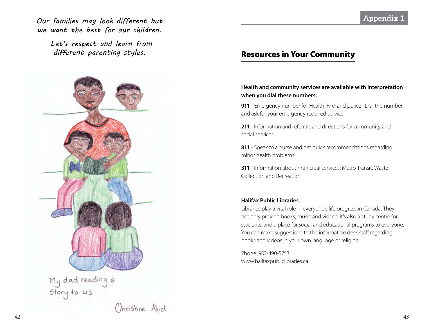*Our families may look different but we want the best for our children.*

> *Let's respect and learn from different parenting styles.*



My dad reading a<br>Story to us Christine Atid

# Resources in Your Community

### **Health and community services are available with interpretation when you dial these numbers:**

**911** - Emergency number for Health, Fire, and police . Dial the number and ask for your emergency required service

**211** - Information and referrals and directions for community and social services

**811** - Speak to a nurse and get quick recommendations regarding minor health problems

**311** - Information about municipal services: Metro Transit, Waste Collection and Recreation

### **Halifax Public Libraries**

Libraries play a vital role in everyone's life progress in Canada. They not only provide books, music and videos, it's also a study centre for students, and a place for social and educational programs to everyone. You can make suggestions to the information desk staff regarding books and videos in your own language or religion.

Phone: 902-490-5753 www.halifaxpubliclibraries.ca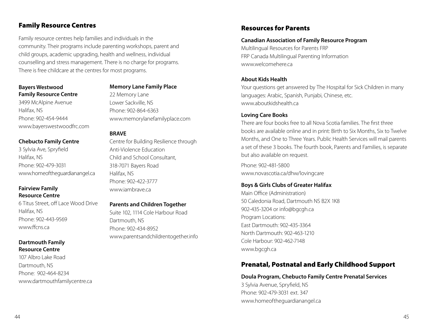# Family Resource Centres

Family resource centres help families and individuals in the community. Their programs include parenting workshops, parent and child groups, academic upgrading, health and wellness, individual counselling and stress management. There is no charge for programs. There is free childcare at the centres for most programs.

#### **Bayers Westwood Family Resource Centre**

3499 McAlpine Avenue Halifax, NS Phone: 902-454-9444 www.bayerswestwoodfrc.com

### **Chebucto Family Centre**

3 Sylvia Ave, Spryfield Halifax, NS Phone: 902-479-3031 www.homeoftheguardianangel.ca

#### **Fairview Family Resource Centre**

6 Titus Street, off Lace Wood Drive Halifax, NS Phone: 902-443-9569 www.ffcns.ca

#### **Dartmouth Family Resource Centre**

107 Albro Lake Road Dartmouth, NS Phone: 902-464-8234 www.dartmouthfamilycentre.ca

### **Memory Lane Family Place**

22 Memory Lane Lower Sackville, NS Phone: 902-864-6363 www.memorylanefamilyplace.com

### **BRAVE**

Centre for Building Resilience through Anti-Violence Education Child and School Consultant, 318-7071 Bayers Road Halifax, NS Phone: 902-422-3777 www.iambrave.ca

#### **Parents and Children Together**

Suite 102, 1114 Cole Harbour Road Dartmouth, NS Phone: 902-434-8952 www.parentsandchildrentogether.info

### Resources for Parents

#### **Canadian Association of Family Resource Program**

Multilingual Resources for Parents FRP FRP Canada Multilingual Parenting Information www.welcomehere.ca

### **About Kids Health**

Your questions get answered by The Hospital for Sick Children in many languages: Arabic, Spanish, Punjabi, Chinese, etc. www.aboutkidshealth.ca

#### **Loving Care Books**

There are four books free to all Nova Scotia families. The first three books are available online and in print: Birth to Six Months, Six to Twelve Months, and One to Three Years. Public Health Services will mail parents a set of these 3 books. The fourth book, Parents and Families, is separate but also available on request.

Phone: 902-481-5800 www.novascotia.ca/dhw/lovingcare

### **Boys & Girls Clubs of Greater Halifax**

Main Office (Administration) 50 Caledonia Road, Dartmouth NS B2X 1K8 902-435-3204 or info@bgcgh.ca Program Locations: East Dartmouth: 902-435-3364 North Dartmouth: 902-463-1210 Cole Harbour: 902-462-7148 www.bgcgh.ca

# Prenatal, Postnatal and Early Childhood Support

### **Doula Program, Chebucto Family Centre Prenatal Services**

3 Sylvia Avenue, Spryfield, NS Phone: 902-479-3031 ext. 347 www.homeoftheguardianangel.ca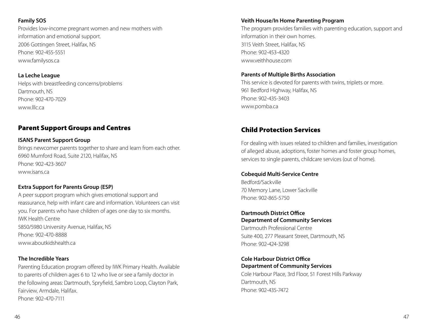### **Family SOS**

Provides low-income pregnant women and new mothers with information and emotional support. 2006 Gottingen Street, Halifax, NS Phone: 902-455-5551 www.familysos.ca

### **La Leche League**

Helps with breastfeeding concerns/problems Dartmouth, NS Phone: 902-470-7029 www.lllc.ca

# Parent Support Groups and Centres

### **ISANS Parent Support Group**

Brings newcomer parents together to share and learn from each other. 6960 Mumford Road, Suite 2120, Halifax, NS Phone: 902-423-3607 www.isans.ca

### **Extra Support for Parents Group (ESP)**

A peer support program which gives emotional support and reassurance, help with infant care and information. Volunteers can visit you. For parents who have children of ages one day to six months. IWK Health Centre 5850/5980 University Avenue, Halifax, NS Phone: 902-470-8888 www.aboutkidshealth.ca

### **The Incredible Years**

Parenting Education program offered by IWK Primary Health. Available to parents of children ages 6 to 12 who live or see a family doctor in the following areas: Dartmouth, Spryfield, Sambro Loop, Clayton Park, Fairview, Armdale, Halifax. Phone: 902-470-7111

#### **Veith House/In Home Parenting Program**

The program provides families with parenting education, support and information in their own homes. 3115 Veith Street, Halifax, NS Phone: 902-453-4320 www.veithhouse.com

#### **Parents of Multiple Births Association**

This service is devoted for parents with twins, triplets or more. 961 Bedford Highway, Halifax, NS Phone: 902-435-3403 www.pomba.ca

# Child Protection Services

For dealing with issues related to children and families, investigation of alleged abuse, adoptions, foster homes and foster group homes, services to single parents, childcare services (out of home).

### **Cobequid Multi-Service Centre**

Bedford/Sackville 70 Memory Lane, Lower Sackville Phone: 902-865-5750

**Dartmouth District Office Department of Community Services** Dartmouth Professional Centre Suite 400, 277 Pleasant Street, Dartmouth, NS Phone: 902-424-3298

**Cole Harbour District Office Department of Community Services**

Cole Harbour Place, 3rd Floor, 51 Forest Hills Parkway Dartmouth, NS Phone: 902-435-7472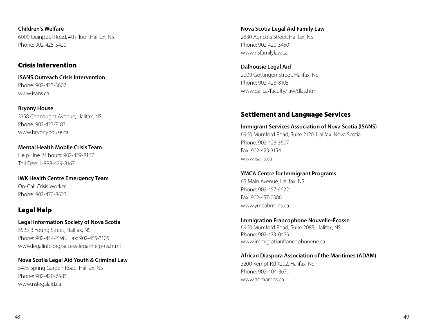**Children's Welfare**  6009 Quinpool Road, 4th floor, Halifax, NS Phone: 902-425-5420

### Crisis Intervention

**ISANS Outreach Crisis Intervention** Phone: 902-423-3607 www.isans.ca

**Bryony House** 3358 Connaught Avenue, Halifax, NS Phone: 902-423-7183 www.bryonyhouse.ca

**Mental Health Mobile Crisis Team** Help Line 24 hours: 902-429-8167 Toll Free: 1-888-429-8167

**IWK Health Centre Emergency Team** On-Call Crisis Worker Phone: 902-470-8623

# Legal Help

**Legal Information Society of Nova Scotia**  5523 B Young Street, Halifax, NS Phone: 902-454-2198, Fax: 902-455-3105 www.legalinfo.org/access-legal-help-ns.html

**Nova Scotia Legal Aid Youth & Criminal Law**  5475 Spring Garden Road, Halifax, NS Phone: 902-420-6583 www.nslegalaid.ca

**Nova Scotia Legal Aid Family Law** 2830 Agricola Street, Halifax, NS Phone: 902-420-3450 www.nsfamilylaw.ca

**Dalhousie Legal Aid** 2209 Gottingen Street, Halifax, NS Phone: 902-423-8105 www.dal.ca/faculty/law/dlas.html

### Settlement and Language Services

**Immigrant Services Association of Nova Scotia (ISANS)**  6960 Mumford Road, Suite 2120, Halifax, Nova Scotia Phone: 902-423-3607 Fax: 902-423-3154 www.isans.ca

**YMCA Centre for Immigrant Programs**

65 Main Avenue, Halifax, NS Phone: 902-457-9622 Fax: 902-457-0386 www.ymcahrm.ns.ca

**Immigration Francophone Nouvelle-Écosse**

6960 Mumford Road, Suite 2085, Halifax, NS Phone: 902-433-0439 www.immigrationfrancophonene.ca

**African Diaspora Association of the Maritimes (ADAM)** 

3200 Kempt Rd #202, Halifax, NS Phone: 902-404-3670 www.admamns.ca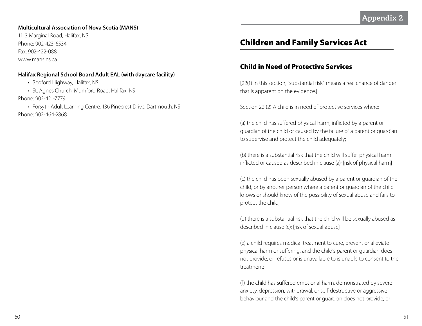### **Multicultural Association of Nova Scotia (MANS)**

1113 Marginal Road, Halifax, NS Phone: 902-423-6534 Fax: 902-422-0881 www.mans.ns.ca

#### **Halifax Regional School Board Adult EAL (with daycare facility)**

• Bedford Highway, Halifax, NS

• St. Agnes Church, Mumford Road, Halifax, NS

Phone: 902-421-7779

• Forsyth Adult Learning Centre, 136 Pinecrest Drive, Dartmouth, NS Phone: 902-464-2868

# Children and Family Services Act

# Child in Need of Protective Services

[22(1) in this section, "substantial risk" means a real chance of danger that is apparent on the evidence.]

Section 22 (2) A child is in need of protective services where:

(a) the child has suffered physical harm, inflicted by a parent or guardian of the child or caused by the failure of a parent or guardian to supervise and protect the child adequately;

(b) there is a substantial risk that the child will suffer physical harm inflicted or caused as described in clause (a); [risk of physical harm]

(c) the child has been sexually abused by a parent or guardian of the child, or by another person where a parent or guardian of the child knows or should know of the possibility of sexual abuse and fails to protect the child;

(d) there is a substantial risk that the child will be sexually abused as described in clause (c); [risk of sexual abuse]

(e) a child requires medical treatment to cure, prevent or alleviate physical harm or suffering, and the child's parent or guardian does not provide, or refuses or is unavailable to is unable to consent to the treatment;

(f) the child has suffered emotional harm, demonstrated by severe anxiety, depression, withdrawal, or self-destructive or aggressive behaviour and the child's parent or guardian does not provide, or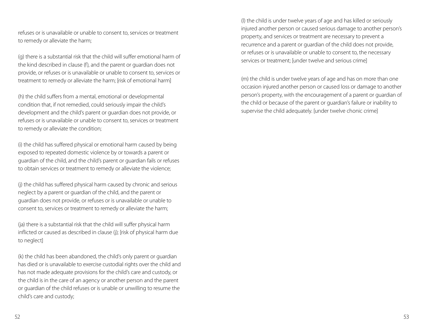refuses or is unavailable or unable to consent to, services or treatment to remedy or alleviate the harm;

(g) there is a substantial risk that the child will suffer emotional harm of the kind described in clause (f), and the parent or guardian does not provide, or refuses or is unavailable or unable to consent to, services or treatment to remedy or alleviate the harm; [risk of emotional harm]

(h) the child suffers from a mental, emotional or developmental condition that, if not remedied, could seriously impair the child's development and the child's parent or guardian does not provide, or refuses or is unavailable or unable to consent to, services or treatment to remedy or alleviate the condition;

(i) the child has suffered physical or emotional harm caused by being exposed to repeated domestic violence by or towards a parent or guardian of the child, and the child's parent or guardian fails or refuses to obtain services or treatment to remedy or alleviate the violence;

(j) the child has suffered physical harm caused by chronic and serious neglect by a parent or guardian of the child, and the parent or guardian does not provide, or refuses or is unavailable or unable to consent to, services or treatment to remedy or alleviate the harm;

(ja) there is a substantial risk that the child will suffer physical harm inflicted or caused as described in clause (j); [risk of physical harm due to neglect]

(k) the child has been abandoned, the child's only parent or guardian has died or is unavailable to exercise custodial rights over the child and has not made adequate provisions for the child's care and custody, or the child is in the care of an agency or another person and the parent or guardian of the child refuses or is unable or unwilling to resume the child's care and custody;

(l) the child is under twelve years of age and has killed or seriously injured another person or caused serious damage to another person's property, and services or treatment are necessary to prevent a recurrence and a parent or guardian of the child does not provide, or refuses or is unavailable or unable to consent to, the necessary services or treatment; [under twelve and serious crime]

(m) the child is under twelve years of age and has on more than one occasion injured another person or caused loss or damage to another person's property, with the encouragement of a parent or guardian of the child or because of the parent or guardian's failure or inability to supervise the child adequately. [under twelve chonic crime]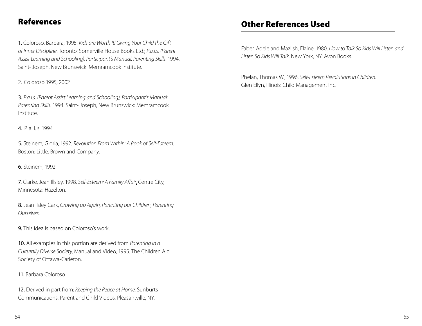# References

1. Coloroso, Barbara, 1995. *Kids are Worth It! Giving Your Child the Gift of Inner Discipline*. Toronto: Somerville House Books Ltd.; *P.a.l.s. (Parent Assist Learning and Schooling), Participant's Manual: Parenting Skills*. 1994. Saint- Joseph, New Brunswick: Memramcook Institute.

2. Coloroso 1995, 2002

3. *P.a.l.s. (Parent Assist Learning and Schooling), Participant's Manual: Parenting Skills*. 1994. Saint- Joseph, New Brunswick: Memramcook Institute.

4. P. a. l. s. 1994

5. Steinem, Gloria, 1992. *Revolution From Within: A Book of Self-Esteem*. Boston: Little, Brown and Company.

6. Steinem, 1992

7. Clarke, Jean Illsley, 1998. *Self-Esteem: A Family Affair*. Centre City, Minnesota: Hazelton.

8. Jean Ilsley Cark, *Growing up Again, Parenting our Children, Parenting Ourselves.*

9. This idea is based on Coloroso's work.

10. All examples in this portion are derived from *Parenting in a Culturally Diverse Society*, Manual and Video, 1995. The Children Aid Society of Ottawa-Carleton.

11. Barbara Coloroso

12. Derived in part from: *Keeping the Peace at Home*, Sunburts Communications, Parent and Child Videos, Pleasantville, NY.

# Other References Used

Faber, Adele and Mazlish, Elaine, 1980. *How to Talk So Kids Will Listen and Listen So Kids Will Talk*. New York, NY: Avon Books.

Phelan, Thomas W., 1996. *Self-Esteem Revolutions in Children*. Glen Ellyn, Illinois: Child Management Inc.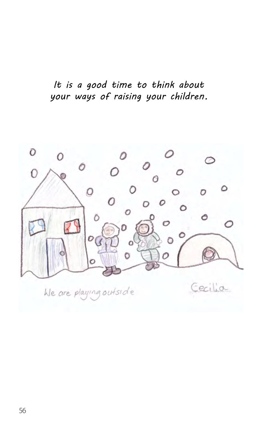*It is a good time to think about your ways of raising your children.*



We are playing outside